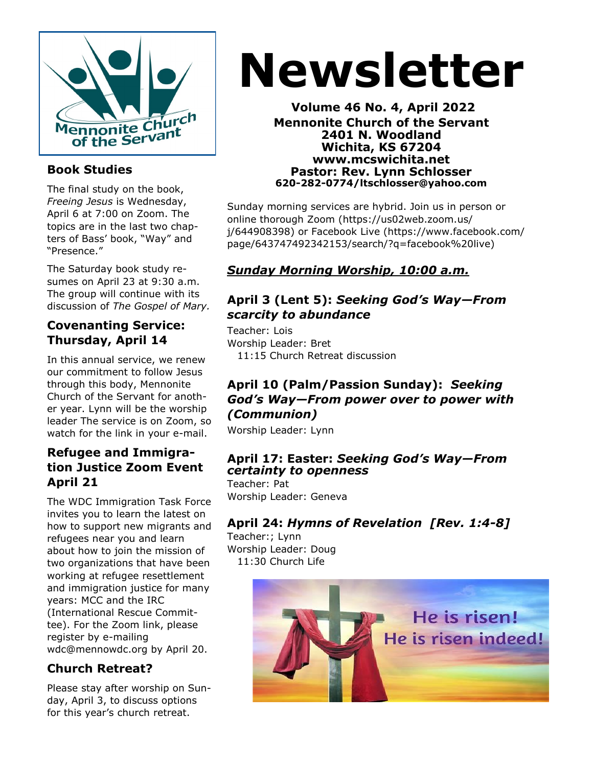

### **Book Studies**

The final study on the book, *Freeing Jesus* is Wednesday, April 6 at 7:00 on Zoom. The topics are in the last two chapters of Bass' book, "Way" and "Presence."

The Saturday book study resumes on April 23 at 9:30 a.m. The group will continue with its discussion of *The Gospel of Mary.*

#### **Covenanting Service: Thursday, April 14**

In this annual service, we renew our commitment to follow Jesus through this body, Mennonite Church of the Servant for another year. Lynn will be the worship leader The service is on Zoom, so watch for the link in your e-mail.

#### **Refugee and Immigration Justice Zoom Event April 21**

The WDC Immigration Task Force invites you to learn the latest on how to support new migrants and refugees near you and learn about how to join the mission of two organizations that have been working at refugee resettlement and immigration justice for many years: MCC and the IRC (International Rescue Committee). For the Zoom link, please register by e-mailing wdc@mennowdc.org by April 20.

# **Church Retreat?**

Please stay after worship on Sunday, April 3, to discuss options for this year's church retreat.

# **Newsletter**

**Volume 46 No. 4, April 2022 Mennonite Church of the Servant 2401 N. Woodland Wichita, KS 67204 www.mcswichita.net Pastor: Rev. Lynn Schlosser 620-282-0774/ltschlosser@yahoo.com**

Sunday morning services are hybrid. Join us in person or online thorough Zoom (https://us02web.zoom.us/ j/644908398) or Facebook Live (https://www.facebook.com/ page/643747492342153/search/?q=facebook%20live)

# *Sunday Morning Worship, 10:00 a.m.*

#### **April 3 (Lent 5):** *Seeking God's Way—From scarcity to abundance*

Teacher: Lois Worship Leader: Bret 11:15 Church Retreat discussion

#### **April 10 (Palm/Passion Sunday):** *Seeking God's Way—From power over to power with (Communion)*

Worship Leader: Lynn

#### **April 17: Easter:** *Seeking God's Way—From certainty to openness*

Teacher: Pat Worship Leader: Geneva

# **April 24:** *Hymns of Revelation [Rev. 1:4-8]*

Teacher:; Lynn Worship Leader: Doug 11:30 Church Life

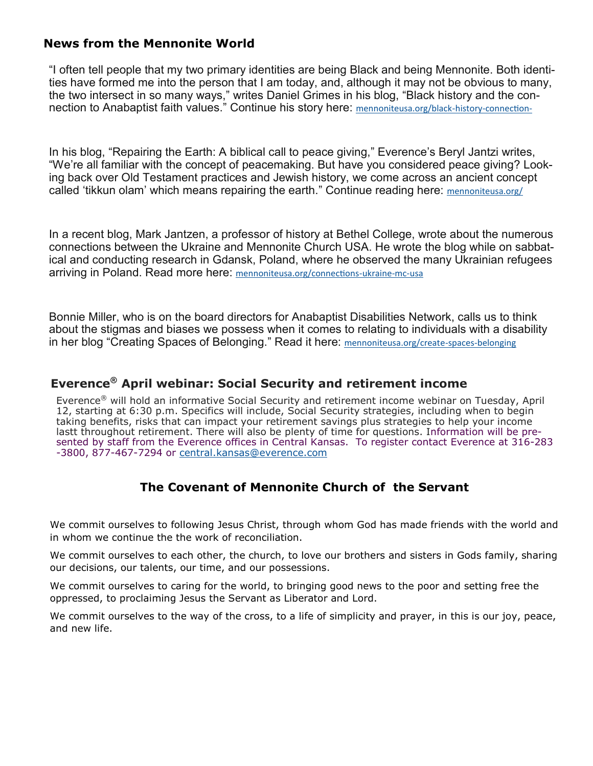#### **News from the Mennonite World**

"I often tell people that my two primary identities are being Black and being Mennonite. Both identities have formed me into the person that I am today, and, although it may not be obvious to many, the two intersect in so many ways," writes Daniel Grimes in his blog, "Black history and the connection to Anabaptist faith values." Continue his story here: [mennoniteusa.org/black](https://mennoniteusa.us1.list-manage.com/track/click?u=97f16d9c230780d6354d01572&id=efaee8b3a8&e=fd837cb6fb)-history-connection-

In his blog, "Repairing the Earth: A biblical call to peace giving," Everence's Beryl Jantzi writes, "We're all familiar with the concept of peacemaking. But have you considered peace giving? Looking back over Old Testament practices and Jewish history, we come across an ancient concept called 'tikkun olam' which means repairing the earth." Continue reading here: [mennoniteusa.org/](https://mennoniteusa.us1.list-manage.com/track/click?u=97f16d9c230780d6354d01572&id=2358a3181c&e=fd837cb6fb)

In a recent blog, Mark Jantzen, a professor of history at Bethel College, wrote about the numerous connections between the Ukraine and Mennonite Church USA. He wrote the blog while on sabbatical and conducting research in Gdansk, Poland, where he observed the many Ukrainian refugees arriving in Poland. Read more here: [mennoniteusa.org/connections](https://mennoniteusa.us1.list-manage.com/track/click?u=97f16d9c230780d6354d01572&id=1e86a95754&e=fd837cb6fb)-ukraine-mc-usa

Bonnie Miller, who is on the board directors for Anabaptist Disabilities Network, calls us to think about the stigmas and biases we possess when it comes to relating to individuals with a disability in her blog "Creating Spaces of Belonging." Read it here: [mennoniteusa.org/create](https://mennoniteusa.us1.list-manage.com/track/click?u=97f16d9c230780d6354d01572&id=cdcbd75231&e=fd837cb6fb)-spaces-belonging

# **Everence® April webinar: Social Security and retirement income**

Everence® will hold an informative Social Security and retirement income webinar on Tuesday, April 12, starting at 6:30 p.m. Specifics will include, Social Security strategies, including when to begin taking benefits, risks that can impact your retirement savings plus strategies to help your income lastt throughout retirement. There will also be plenty of time for questions. Information will be presented by staff from the Everence offices in Central Kansas. To register contact Everence at 316-283 -3800, 877-467-7294 or [central.kansas@everence.com](mailto:central.kansas@everence.com)

#### **The Covenant of Mennonite Church of the Servant**

We commit ourselves to following Jesus Christ, through whom God has made friends with the world and in whom we continue the the work of reconciliation.

We commit ourselves to each other, the church, to love our brothers and sisters in Gods family, sharing our decisions, our talents, our time, and our possessions.

We commit ourselves to caring for the world, to bringing good news to the poor and setting free the oppressed, to proclaiming Jesus the Servant as Liberator and Lord.

We commit ourselves to the way of the cross, to a life of simplicity and prayer, in this is our joy, peace, and new life.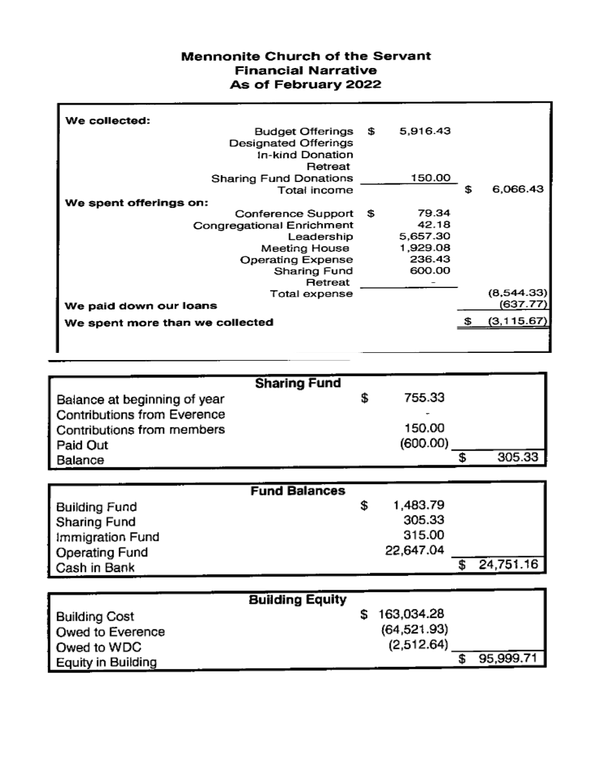#### **Mennonite Church of the Servant Financial Narrative** As of February 2022

| We collected:                   |             |          |                |
|---------------------------------|-------------|----------|----------------|
| Budget Offerings \$             |             | 5,916.43 |                |
| <b>Designated Offerings</b>     |             |          |                |
| In-kind Donation                |             |          |                |
| Retreat                         |             |          |                |
| <b>Sharing Fund Donations</b>   |             | 150.00   |                |
| Total income                    |             |          | \$<br>6,066.43 |
| We spent offerings on:          |             |          |                |
| Conference Support              | - \$        | 79.34    |                |
| Congregational Enrichment       |             | 42.18    |                |
| Leadership                      |             | 5,657.30 |                |
| Meeting House                   |             | 1,929.08 |                |
| <b>Operating Expense</b>        |             | 236.43   |                |
| Sharing Fund                    |             | 600.00   |                |
| Retreat                         |             |          |                |
| Total expense                   |             |          | (8,544.33)     |
| We paid down our loans          | (637.77)    |          |                |
| We spent more than we collected | (3, 115.67) |          |                |
|                                 |             |          |                |

|                              | <b>Sharing Fund</b> |          |        |
|------------------------------|---------------------|----------|--------|
| Balance at beginning of year |                     | 755.33   |        |
| Contributions from Everence  |                     | ۰        |        |
| Contributions from members   |                     | 150.00   |        |
| Paid Out                     |                     | (600.00) |        |
| Balance                      |                     |          | 305.33 |

|                  | <b>Fund Balances</b> |           |           |
|------------------|----------------------|-----------|-----------|
| Building Fund    |                      | 1,483.79  |           |
| Sharing Fund     |                      | 305.33    |           |
| Immigration Fund |                      | 315.00    |           |
| Operating Fund   |                      | 22,647.04 |           |
| Cash in Bank     |                      |           | 24,751.16 |

|                           | <b>Building Equity</b> |              |           |
|---------------------------|------------------------|--------------|-----------|
| <b>Building Cost</b>      |                        | 163,034.28   |           |
| Owed to Everence          |                        | (64, 521.93) |           |
| Owed to WDC               |                        | (2,512.64)   |           |
| <b>Equity in Building</b> |                        |              | 95,999.71 |